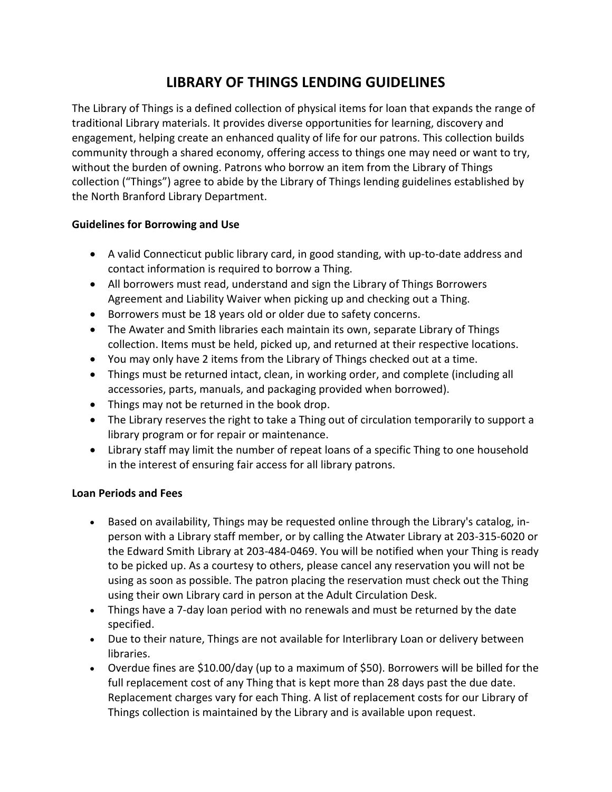## **LIBRARY OF THINGS LENDING GUIDELINES**

The Library of Things is a defined collection of physical items for loan that expands the range of traditional Library materials. It provides diverse opportunities for learning, discovery and engagement, helping create an enhanced quality of life for our patrons. This collection builds community through a shared economy, offering access to things one may need or want to try, without the burden of owning. Patrons who borrow an item from the Library of Things collection ("Things") agree to abide by the Library of Things lending guidelines established by the North Branford Library Department.

## **Guidelines for Borrowing and Use**

- A valid Connecticut public library card, in good standing, with up-to-date address and contact information is required to borrow a Thing.
- All borrowers must read, understand and sign the Library of Things Borrowers Agreement and Liability Waiver when picking up and checking out a Thing.
- Borrowers must be 18 years old or older due to safety concerns.
- The Awater and Smith libraries each maintain its own, separate Library of Things collection. Items must be held, picked up, and returned at their respective locations.
- You may only have 2 items from the Library of Things checked out at a time.
- Things must be returned intact, clean, in working order, and complete (including all accessories, parts, manuals, and packaging provided when borrowed).
- Things may not be returned in the book drop.
- The Library reserves the right to take a Thing out of circulation temporarily to support a library program or for repair or maintenance.
- Library staff may limit the number of repeat loans of a specific Thing to one household in the interest of ensuring fair access for all library patrons.

## **Loan Periods and Fees**

- Based on availability, Things may be requested online through the Library's catalog, inperson with a Library staff member, or by calling the Atwater Library at 203-315-6020 or the Edward Smith Library at 203-484-0469. You will be notified when your Thing is ready to be picked up. As a courtesy to others, please cancel any reservation you will not be using as soon as possible. The patron placing the reservation must check out the Thing using their own Library card in person at the Adult Circulation Desk.
- Things have a 7-day loan period with no renewals and must be returned by the date specified.
- Due to their nature, Things are not available for Interlibrary Loan or delivery between libraries.
- Overdue fines are \$10.00/day (up to a maximum of \$50). Borrowers will be billed for the full replacement cost of any Thing that is kept more than 28 days past the due date. Replacement charges vary for each Thing. A list of replacement costs for our Library of Things collection is maintained by the Library and is available upon request.